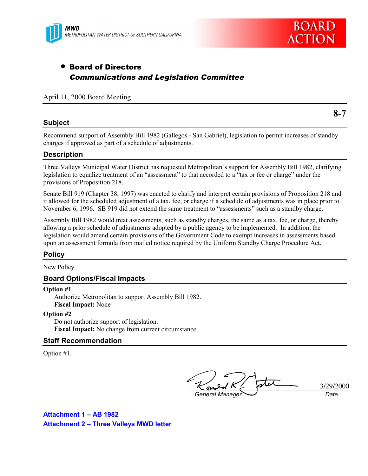



**8-7**

# • Board of Directors Communications and Legislation Committee

# April 11, 2000 Board Meeting

# **Subject**

Recommend support of Assembly Bill 1982 (Gallegos - San Gabriel), legislation to permit increases of standby charges if approved as part of a schedule of adjustments.

# **Description**

Three Valleys Municipal Water District has requested Metropolitan's support for Assembly Bill 1982, clarifying legislation to equalize treatment of an "assessment" to that accorded to a "tax or fee or charge" under the provisions of Proposition 218.

Senate Bill 919 (Chapter 38, 1997) was enacted to clarify and interpret certain provisions of Proposition 218 and it allowed for the scheduled adjustment of a tax, fee, or charge if a schedule of adjustments was in place prior to November 6, 1996. SB 919 did not extend the same treatment to "assessments" such as a standby charge.

Assembly Bill 1982 would treat assessments, such as standby charges, the same as a tax, fee, or charge, thereby allowing a prior schedule of adjustments adopted by a public agency to be implemented. In addition, the legislation would amend certain provisions of the Government Code to exempt increases in assessments based upon an assessment formula from mailed notice required by the Uniform Standby Charge Procedure Act.

# **Policy**

New Policy.

# **Board Options/Fiscal Impacts**

#### **Option #1**

Authorize Metropolitan to support Assembly Bill 1982. **Fiscal Impact:** None

#### **Option #2**

Do not authorize support of legislation. **Fiscal Impact:** No change from current circumstance.

# **Staff Recommendation**

Option #1.

*General Manager Date* 3/29/2000

**Attachment 1 – AB 1982 Attachment 2 – Three Valleys MWD letter**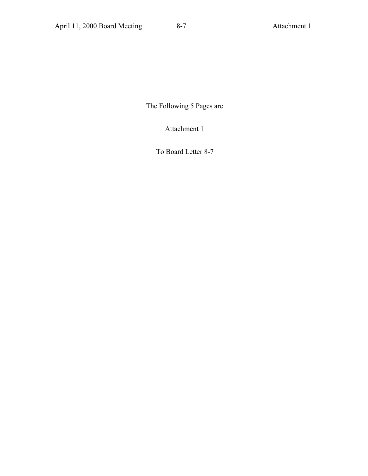The Following 5 Pages are

Attachment 1

To Board Letter 8-7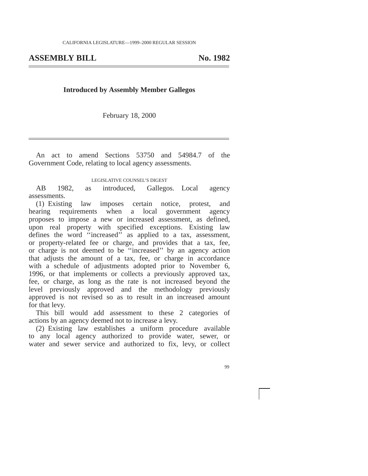#### **Introduced by Assembly Member Gallegos**

February 18, 2000

An act to amend Sections 53750 and 54984.7 of the Government Code, relating to local agency assessments.

#### LEGISLATIVE COUNSEL'S DIGEST

AB 1982, as introduced, Gallegos. Local agency assessments.

(1) Existing law imposes certain notice, protest, and hearing requirements when a local government agency proposes to impose a new or increased assessment, as defined, upon real property with specified exceptions. Existing law defines the word ''increased'' as applied to a tax, assessment, or property-related fee or charge, and provides that a tax, fee, or charge is not deemed to be ''increased'' by an agency action that adjusts the amount of a tax, fee, or charge in accordance with a schedule of adjustments adopted prior to November 6, 1996, or that implements or collects a previously approved tax, fee, or charge, as long as the rate is not increased beyond the level previously approved and the methodology previously approved is not revised so as to result in an increased amount for that levy.

This bill would add assessment to these 2 categories of actions by an agency deemed not to increase a levy.

(2) Existing law establishes a uniform procedure available to any local agency authorized to provide water, sewer, or water and sewer service and authorized to fix, levy, or collect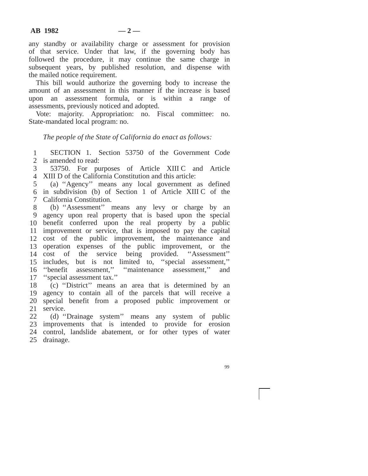any standby or availability charge or assessment for provision of that service. Under that law, if the governing body has followed the procedure, it may continue the same charge in subsequent years, by published resolution, and dispense with the mailed notice requirement.

This bill would authorize the governing body to increase the amount of an assessment in this manner if the increase is based upon an assessment formula, or is within a range of assessments, previously noticed and adopted.

Vote: majority. Appropriation: no. Fiscal committee: no. State-mandated local program: no.

# *The people of the State of California do enact as follows:*

1 2 is amended to read: SECTION 1. Section 53750 of the Government Code

3 4 XIII D of the California Constitution and this article: 53750. For purposes of Article XIII C and Article

5 6 in subdivision (b) of Section 1 of Article XIII C of the 7 California Constitution. (a) ''Agency'' means any local government as defined

8 9 agency upon real property that is based upon the special 10 benefit conferred upon the real property by a public 11 improvement or service, that is imposed to pay the capital 12 cost of the public improvement, the maintenance and 13 operation expenses of the public improvement, or the 14 cost 15 includes, but is not limited to, ''special assessment,'' 16 "benefit assessment," 17 ''special assessment tax.'' (b) ''Assessment'' means any levy or charge by an of the service being provided. "Assessment" "maintenance assessment," and

18 19 agency to contain all of the parcels that will receive a 20 special benefit from a proposed public improvement or 21 service. (c) ''District'' means an area that is determined by an

22 23 improvements that is intended to provide for erosion 24 control, landslide abatement, or for other types of water 25 drainage.(d) ''Drainage system'' means any system of public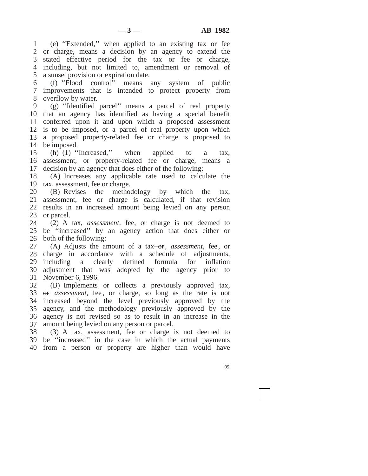or charge, means a decision by an agency to extend the a sunset provision or expiration date. (e) ''Extended,'' when applied to an existing tax or fee stated effective period for the tax or fee or charge, including, but not limited to, amendment or removal of

 improvements that is intended to protect property from (f) ''Flood control'' means any system of public overflow by water.

 that an agency has identified as having a special benefit conferred upon it and upon which a proposed assessment is to be imposed, or a parcel of real property upon which be imposed. (g) ''Identified parcel'' means a parcel of real property a proposed property-related fee or charge is proposed to

 assessment, or property-related fee or charge, means a (h) (1) ''Increased,'' when applied to a tax, decision by an agency that does either of the following:

 tax, assessment, fee or charge. (A) Increases any applicable rate used to calculate the

 assessment, fee or charge is calculated, if that revision results in an increased amount being levied on any person or parcel. (B) Revises the methodology by which the tax,

 be ''increased'' by an agency action that does either or both of the following: (2) A tax, *assessment,* fee, or charge is not deemed to

 charge in accordance with a schedule of adjustments, 29 including adjustment that was adopted by the agency prior to November 6, 1996. (A) Adjusts the amount of a tax-or, *assessment*, fee, or a clearly defined formula for inflation

 33 or *assessment*, fee, or charge, so long as the rate is not increased beyond the level previously approved by the agency is not revised so as to result in an increase in the amount being levied on any person or parcel. (B) Implements or collects a previously approved tax, agency, and the methodology previously approved by the

 be ''increased'' in the case in which the actual payments from a person or property are higher than would have(3) A tax, assessment, fee or charge is not deemed to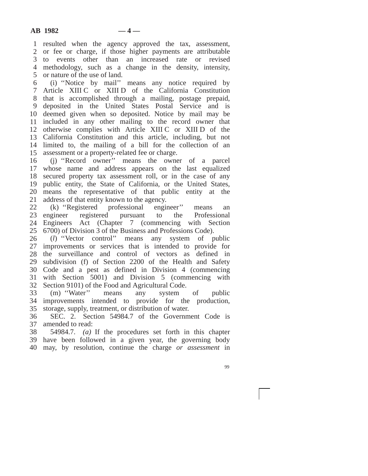resulted when the agency approved the tax, assessment, or fee or charge, if those higher payments are attributable to events other than an increased rate or revised methodology, such as a change in the density, intensity, or nature of the use of land.

 Article XIII C or XIII D of the California Constitution that is accomplished through a mailing, postage prepaid, deposited in the United States Postal Service and is deemed given when so deposited. Notice by mail may be included in any other mailing to the record owner that otherwise complies with Article XIII C or XIII D of the California Constitution and this article, including, but not limited to, the mailing of a bill for the collection of an assessment or a property-related fee or charge. (i) ''Notice by mail'' means any notice required by

 whose name and address appears on the last equalized secured property tax assessment roll, or in the case of any public entity, the State of California, or the United States, means the representative of that public entity at the address of that entity known to the agency. (j) ''Record owner'' means the owner of a parcel

 23 engineer Engineers Act (Chapter 7 (commencing with Section 6700) of Division 3 of the Business and Professions Code). (k) ''Registered professional engineer'' means an registered pursuant to the Professional

 improvements or services that is intended to provide for the surveillance and control of vectors as defined in subdivision (f) of Section 2200 of the Health and Safety Code and a pest as defined in Division 4 (commencing with Section 5001) and Division 5 (commencing with Section 9101) of the Food and Agricultural Code. (*l*) ''Vector control'' means any system of public

 improvements intended to provide for the production, storage, supply, treatment, or distribution of water. (m) ''Water'' means any system of public

 amended to read: SEC. 2. Section 54984.7 of the Government Code is

 have been followed in a given year, the governing body may, by resolution, continue the charge *or assessment* in54984.7. *(a)* If the procedures set forth in this chapter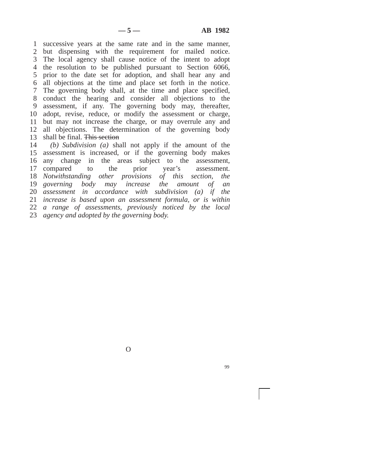successive years at the same rate and in the same manner, but dispensing with the requirement for mailed notice. The local agency shall cause notice of the intent to adopt the resolution to be published pursuant to Section 6066, prior to the date set for adoption, and shall hear any and all objections at the time and place set forth in the notice. conduct the hearing and consider all objections to the adopt, revise, reduce, or modify the assessment or charge, but may not increase the charge, or may overrule any and all objections. The determination of the governing body 13 shall be final. This section The governing body shall, at the time and place specified, assessment, if any. The governing body may, thereafter,

 assessment is increased, or if the governing body makes any change in the areas subject to the assessment, 17 compared *Notwithstanding other provisions of this section, the governing body may increase the amount of an assessment in accordance with subdivision (a) if the increase is based upon an assessment formula, or is within a range of assessments, previously noticed by the local agency and adopted by the governing body. (b) Subdivision (a)* shall not apply if the amount of the to the prior year's assessment.

O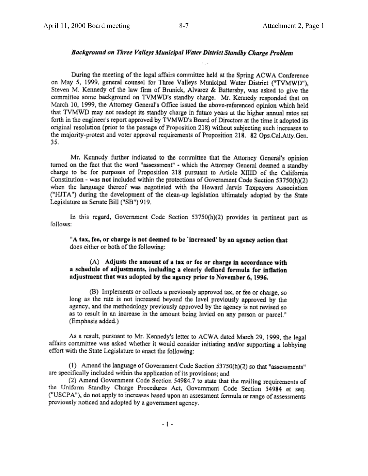# Background on Three Valleys Municipal Water District Standby Charge Problem

During the meeting of the legal affairs committee held at the Spring ACWA Conference on May 5, 1999, general counsel for Three Valleys Municipal Water District ("TVMWD"), Steven M. Kennedy of the law firm of Brunick, Alvarez & Battersby, was asked to give the committee some background on TVMWD's standby charge. Mr. Kennedy responded that on March 10, 1999, the Attorney General's Office issued the above-referenced opinion which held that TVMWD may not readopt its standby charge in future years at the higher annual rates set forth in the engineer's report approved by TVMWD's Board of Directors at the time it adopted its original resolution (prior to the passage of Proposition 218) without subjecting such increases to the maiority-protest and voter approval requirements of Proposition 218, 82 Ops.Cal.Atty.Gen. 35.

Mr. Kennedy further indicated to the committee that the Attorney General's opinion turned on the fact that the word "assessment" - which the Attorney General deemed a standby charge to be for purposes of Proposition 218 pursuant to Article XIIID of the California Constitution - was not included within the protections of Government Code Section 53750(h)(2) when the language thereof was negotiated with the Howard Jarvis Taxpayers Association ("HJTA") during the development of the clean-up legislation ultimately adopted by the State Legislature as Senate Bill ("SB") 919.

In this regard, Government Code Section 53750(h)(2) provides in pertinent part as follows:

"A tax, fee, or charge is not deemed to be 'increased' by an agency action that does either or both of the following:

### (A) Adjusts the amount of a tax or fee or charge in accordance with a schedule of adjustments, including a clearly defined formula for inflation adjustment that was adopted by the agency prior to November 6, 1996.

(B) Implements or collects a previously approved tax, or fee or charge, so long as the rate is not increased beyond the level previously approved by the agency, and the methodology previously approved by the agency is not revised so as to result in an increase in the amount being levied on any person or parcel." (Emphasis added.)

As a result, pursuant to Mr. Kennedy's letter to ACWA dated March 29, 1999, the legal affairs committee was asked whether it would consider initiating and/or supporting a lobbying effort with the State Legislature to enact the following:

(1) Amend the language of Government Code Section 53750(h)(2) so that "assessments" are specifically included within the application of its provisions; and

(2) Amend Government Code Section 54984.7 to state that the mailing requirements of the Uniform Standby Charge Procedures Act, Government Code Section 54984 et seq. ("USCPA"), do not apply to increases based upon an assessment formula or range of assessments previously noticed and adopted by a government agency.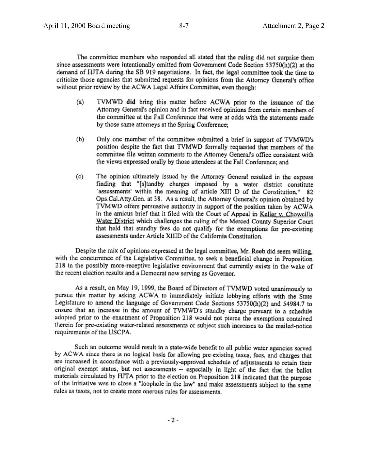The committee members who responded all stated that the ruling did not surprise them since assessments were intentionally omitted from Government Code Section 53750(h)(2) at the demand of HJTA during the SB 919 negotiations. In fact, the legal committee took the time to criticize those agencies that submitted requests for opinions from the Attorney General's office without prior review by the ACWA Legal Affairs Committee, even though:

- TVMWD did bring this matter before ACWA prior to the issuance of the  $(a)$ Attorney General's opinion and in fact received opinions from certain members of the committee at the Fall Conference that were at odds with the statements made by those same attorneys at the Spring Conference;
- Only one member of the committee submitted a brief in support of TVMWD's  $(b)$ position despite the fact that TVMWD formally requested that members of the committee file written comments to the Attorney General's office consistent with the views expressed orally by those attendees at the Fall Conference; and
- (c) The opinion ultimately issued by the Attorney General resulted in the express finding that "[s]tandby charges imposed by a water district constitute 'assessments' within the meaning of article XIII D of the Constitution." 82 Ops.Cal.Atty.Gen. at 38. As a result, the Attorney General's opinion obtained by TVMWD offers persuasive authority in support of the position taken by ACWA in the amicus brief that it filed with the Court of Appeal in Keller v. Chowcilla Water District which challenges the ruling of the Merced County Superior Court that held that standby fees do not qualify for the exemptions for pre-existing assessments under Article XIIID of the California Constitution.

Despite the mix of opinions expressed at the legal committee, Mr. Reeb did seem willing, with the concurrence of the Legislative Committee, to seek a beneficial change in Proposition 218 in the possibly more-receptive legislative environment that currently exists in the wake of the recent election results and a Democrat now serving as Governor.

As a result, on May 19, 1999, the Board of Directors of TVMWD voted unanimously to pursue this matter by asking ACWA to immediately initiate lobbying efforts with the State Legislature to amend the language of Government Code Sections 53750(h)(2) and 54984.7 to ensure that an increase in the amount of TVMWD's standby charge pursuant to a schedule adopted prior to the enactment of Proposition 218 would not pierce the exemptions contained therein for pre-existing water-related assessments or subject such increases to the mailed-notice requirements of the USCPA.

Such an outcome would result in a state-wide benefit to all public water agencies served by ACWA since there is no logical basis for allowing pre-existing taxes, fees, and charges that are increased in accordance with a previously-approved schedule of adjustments to retain their original exempt status, but not assessments -- especially in light of the fact that the ballot materials circulated by HJTA prior to the election on Proposition 218 indicated that the purpose of the initiative was to close a "loophole in the law" and make assessments subject to the same rules as taxes, not to create more onerous rules for assessments.